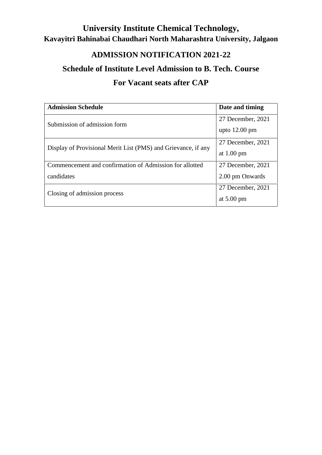# **University Institute Chemical Technology, Kavayitri Bahinabai Chaudhari North Maharashtra University, Jalgaon**

## **ADMISSION NOTIFICATION 2021-22**

### **Schedule of Institute Level Admission to B. Tech. Course**

## **For Vacant seats after CAP**

| <b>Admission Schedule</b>                                     | Date and timing         |
|---------------------------------------------------------------|-------------------------|
| Submission of admission form                                  | 27 December, 2021       |
|                                                               | upto $12.00 \text{ pm}$ |
| Display of Provisional Merit List (PMS) and Grievance, if any | 27 December, 2021       |
|                                                               | at $1.00 \text{ pm}$    |
| Commencement and confirmation of Admission for allotted       | 27 December, 2021       |
| candidates                                                    | 2.00 pm Onwards         |
|                                                               | 27 December, 2021       |
| Closing of admission process                                  | at $5.00 \text{ pm}$    |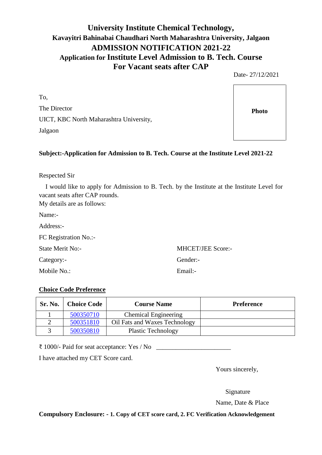#### **University Institute Chemical Technology, Kavayitri Bahinabai Chaudhari North Maharashtra University, Jalgaon ADMISSION NOTIFICATION 2021-22 Application for Institute Level Admission to B. Tech. Course For Vacant seats after CAP**

Date- 27/12/2021

To, The Director UICT, KBC North Maharashtra University, Jalgaon

#### **Subject:-Application for Admission to B. Tech. Course at the Institute Level 2021-22**

Respected Sir

I would like to apply for Admission to B. Tech. by the Institute at the Institute Level for vacant seats after CAP rounds.

My details are as follows:

Name:-

| Address:- |  |
|-----------|--|
|           |  |

| FC Registration No.:- |  |
|-----------------------|--|
|-----------------------|--|

Category:- Gender:-

Mobile No.: Email:

State Merit No:- MHCET/JEE Score:-

#### **Choice Code Preference**

| Sr. No. | <b>Choice Code</b> | <b>Course Name</b>            | <b>Preference</b> |
|---------|--------------------|-------------------------------|-------------------|
|         | 500350710          | <b>Chemical Engineering</b>   |                   |
|         | 500351810          | Oil Fats and Waxes Technology |                   |
|         | 500350810          | <b>Plastic Technology</b>     |                   |

 $\bar{\tau}$  1000/- Paid for seat acceptance: Yes / No

I have attached my CET Score card.

Yours sincerely,

Signature

Name, Date & Place

**Compulsory Enclosure: - 1. Copy of CET score card, 2. FC Verification Acknowledgement**

**Photo**